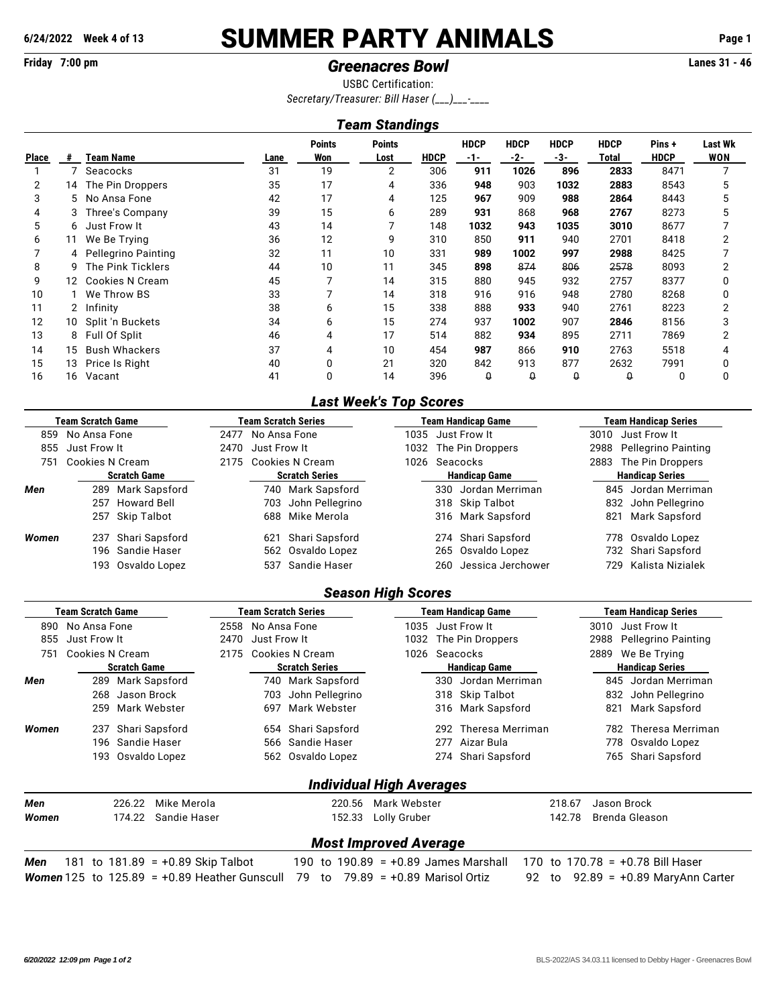# **6/24/2022 Week 4 of 13** SUMMER PARTY ANIMALS **Page 1**

# **Friday 7:00 pm** *Greenacres Bowl* **Lanes 31 - 46**

USBC Certification: *Secretary/Treasurer: Bill Haser (\_\_\_)\_\_\_-\_\_\_\_*

## *Team Standings*

|                |    |                       |      | <b>Points</b> | Points |             | <b>HDCP</b> | <b>HDCP</b> | <b>HDCP</b> | <b>HDCP</b> | Pins+       | <b>Last Wk</b> |
|----------------|----|-----------------------|------|---------------|--------|-------------|-------------|-------------|-------------|-------------|-------------|----------------|
| <b>Place</b>   | #  | Team Name             | Lane | Won           | Lost   | <b>HDCP</b> | $-1-$       | -2-         | -3-         | Total       | <b>HDCP</b> | WON            |
|                |    | Seacocks              | 31   | 19            | 2      | 306         | 911         | 1026        | 896         | 2833        | 8471        | 7              |
| $\overline{2}$ | 14 | The Pin Droppers      | 35   | 17            | 4      | 336         | 948         | 903         | 1032        | 2883        | 8543        | 5              |
| 3              |    | 5 No Ansa Fone        | 42   | 17            | 4      | 125         | 967         | 909         | 988         | 2864        | 8443        | 5              |
| 4              | 3  | Three's Company       | 39   | 15            | 6      | 289         | 931         | 868         | 968         | 2767        | 8273        | 5              |
| 5              | 6. | Just Frow It          | 43   | 14            |        | 148         | 1032        | 943         | 1035        | 3010        | 8677        |                |
| 6              | 11 | We Be Trying          | 36   | 12            | 9      | 310         | 850         | 911         | 940         | 2701        | 8418        |                |
|                |    | 4 Pellegrino Painting | 32   | 11            | 10     | 331         | 989         | 1002        | 997         | 2988        | 8425        |                |
| 8              | 9. | The Pink Ticklers     | 44   | 10            | 11     | 345         | 898         | 874         | 806         | 2578        | 8093        | 2              |
| 9              | 12 | Cookies N Cream       | 45   | 7             | 14     | 315         | 880         | 945         | 932         | 2757        | 8377        | 0              |
| 10             |    | We Throw BS           | 33   |               | 14     | 318         | 916         | 916         | 948         | 2780        | 8268        | 0              |
| 11             |    | Infinity              | 38   | 6             | 15     | 338         | 888         | 933         | 940         | 2761        | 8223        | 2              |
| 12             | 10 | Split 'n Buckets      | 34   | 6             | 15     | 274         | 937         | 1002        | 907         | 2846        | 8156        | 3              |
| 13             | 8  | Full Of Split         | 46   | 4             | 17     | 514         | 882         | 934         | 895         | 2711        | 7869        | 2              |
| 14             | 15 | <b>Bush Whackers</b>  | 37   | 4             | 10     | 454         | 987         | 866         | 910         | 2763        | 5518        | 4              |
| 15             | 13 | Price Is Right        | 40   | 0             | 21     | 320         | 842         | 913         | 877         | 2632        | 7991        | 0              |
| 16             | 16 | Vacant                | 41   | 0             | 14     | 396         | Û           | Q           | O           | O           | 0           | 0              |

## *Last Week's Top Scores*

| <b>Team Scratch Game</b> |                                      |                    |                      |                       | Team Scratch Series |                     |                      | <b>Team Handicap Game</b> | <b>Team Handicap Series</b> |                        |  |  |  |
|--------------------------|--------------------------------------|--------------------|----------------------|-----------------------|---------------------|---------------------|----------------------|---------------------------|-----------------------------|------------------------|--|--|--|
| 859                      | No Ansa Fone<br>No Ansa Fone<br>2477 |                    |                      |                       |                     | 1035   Just Frow It |                      | 3010 Just Frow It         |                             |                        |  |  |  |
| 855                      | Just Frow It                         | 2470 Just Frow It  |                      | 1032                  |                     | The Pin Droppers    | 2988                 | Pellegrino Painting       |                             |                        |  |  |  |
| 751                      | Cookies N Cream                      |                    | 2175 Cookies N Cream |                       |                     | 1026 Seacocks       |                      | 2883 The Pin Droppers     |                             |                        |  |  |  |
|                          | <b>Scratch Game</b>                  |                    |                      | <b>Scratch Series</b> |                     |                     | <b>Handicap Game</b> |                           |                             | <b>Handicap Series</b> |  |  |  |
| Men                      |                                      | 289 Mark Sapsford  |                      |                       | 740 Mark Sapsford   |                     |                      | 330 Jordan Merriman       | 845                         | Jordan Merriman        |  |  |  |
|                          |                                      | 257 Howard Bell    |                      | 703                   | John Pellegrino     |                     |                      | 318 Skip Talbot           |                             | 832 John Pellegrino    |  |  |  |
|                          |                                      | 257 Skip Talbot    |                      | 688                   | Mike Merola         |                     |                      | 316 Mark Sapsford         | 821                         | Mark Sapsford          |  |  |  |
| Women                    |                                      | 237 Shari Sapsford |                      | 621                   | Shari Sapsford      |                     | 274                  | Shari Sapsford            | 778                         | Osvaldo Lopez          |  |  |  |
|                          |                                      | 196 Sandie Haser   |                      |                       | 562 Osvaldo Lopez   |                     |                      | 265 Osvaldo Lopez         |                             | 732 Shari Sapsford     |  |  |  |
|                          |                                      | 193 Osvaldo Lopez  |                      |                       | 537 Sandie Haser    |                     | 260                  | Jessica Jerchower         | 729.                        | Kalista Nizialek       |  |  |  |

### *Season High Scores*

| Team Scratch Game   |              |                 |                                       | Team Scratch Series |                       |                                        | Team Handicap Game              | <b>Team Handicap Series</b> |                        |              |                                    |  |
|---------------------|--------------|-----------------|---------------------------------------|---------------------|-----------------------|----------------------------------------|---------------------------------|-----------------------------|------------------------|--------------|------------------------------------|--|
| 890                 | No Ansa Fone |                 | 2558<br>No Ansa Fone                  |                     |                       | 1035                                   | Just Frow It                    |                             |                        | Just Frow It |                                    |  |
| 855                 | Just Frow It |                 |                                       | 2470                | Just Frow It          |                                        | 1032                            |                             | The Pin Droppers       | 2988         | Pellegrino Painting                |  |
| 751                 |              | Cookies N Cream |                                       | 2175                |                       | Cookies N Cream                        | 1026                            | Seacocks                    |                        |              | We Be Trying                       |  |
| <b>Scratch Game</b> |              |                 |                                       |                     | <b>Scratch Series</b> |                                        |                                 | <b>Handicap Game</b>        | <b>Handicap Series</b> |              |                                    |  |
| Men                 |              | 289             | Mark Sapsford                         |                     |                       | 740 Mark Sapsford                      |                                 |                             | 330 Jordan Merriman    | 845          | Jordan Merriman                    |  |
|                     |              | 268             | Jason Brock                           |                     | 703                   | John Pellegrino                        |                                 | 318                         | Skip Talbot            | 832          | John Pellegrino                    |  |
|                     |              | 259             | Mark Webster                          |                     | 697                   | Mark Webster                           |                                 | 316                         | Mark Sapsford          | 821          | Mark Sapsford                      |  |
| Women               |              | 237             | Shari Sapsford                        |                     |                       | 654 Shari Sapsford                     |                                 | 292                         | Theresa Merriman       | 782.         | Theresa Merriman                   |  |
|                     |              | 196             | Sandie Haser                          |                     |                       | 566 Sandie Haser                       |                                 | 277                         | Aizar Bula             | 778          | Osvaldo Lopez                      |  |
|                     |              | 193             | Osvaldo Lopez                         |                     |                       | 562 Osvaldo Lopez                      |                                 | 274                         | Shari Sapsford         | 765          | Shari Sapsford                     |  |
|                     |              |                 |                                       |                     |                       |                                        | <b>Individual High Averages</b> |                             |                        |              |                                    |  |
| Men                 |              | 226.22          | Mike Merola                           |                     |                       | 220.56                                 | Mark Webster                    |                             | 218.67                 |              | Jason Brock                        |  |
| Women               |              | 174.22          | Sandie Haser                          |                     |                       | 152.33                                 | Lolly Gruber                    |                             | 142.78                 |              | Brenda Gleason                     |  |
|                     |              |                 |                                       |                     |                       |                                        | <b>Most Improved Average</b>    |                             |                        |              |                                    |  |
| Men                 |              |                 | 181 to $181.89$ = $+0.89$ Skip Talbot |                     |                       | 190 to $190.89 = +0.89$ James Marshall |                                 |                             |                        |              | 170 to 170.78 = $+0.78$ Bill Haser |  |

*Women* 125 to 125.89 = +0.89 Heather Gunscull 79 to 79.89 = +0.89 Marisol Ortiz 92 to 92.89 = +0.89 MaryAnn Carter